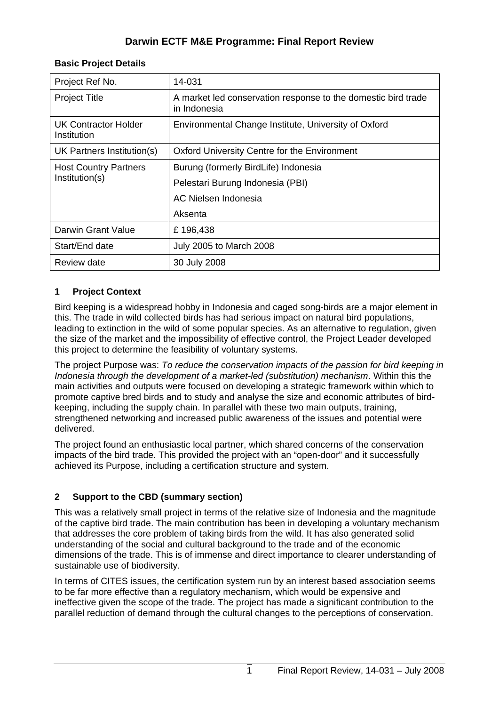# **Darwin ECTF M&E Programme: Final Report Review**

| Project Ref No.                                | 14-031                                                                        |  |  |  |
|------------------------------------------------|-------------------------------------------------------------------------------|--|--|--|
| <b>Project Title</b>                           | A market led conservation response to the domestic bird trade<br>in Indonesia |  |  |  |
| <b>UK Contractor Holder</b><br>Institution     | Environmental Change Institute, University of Oxford                          |  |  |  |
| UK Partners Institution(s)                     | Oxford University Centre for the Environment                                  |  |  |  |
| <b>Host Country Partners</b><br>Institution(s) | Burung (formerly BirdLife) Indonesia                                          |  |  |  |
|                                                | Pelestari Burung Indonesia (PBI)                                              |  |  |  |
|                                                | AC Nielsen Indonesia                                                          |  |  |  |
|                                                | Aksenta                                                                       |  |  |  |
| Darwin Grant Value                             | £196,438                                                                      |  |  |  |
| Start/End date                                 | <b>July 2005 to March 2008</b>                                                |  |  |  |
| Review date                                    | 30 July 2008                                                                  |  |  |  |

#### **Basic Project Details**

### **1 Project Context**

Bird keeping is a widespread hobby in Indonesia and caged song-birds are a major element in this. The trade in wild collected birds has had serious impact on natural bird populations, leading to extinction in the wild of some popular species. As an alternative to regulation, given the size of the market and the impossibility of effective control, the Project Leader developed this project to determine the feasibility of voluntary systems.

The project Purpose was: *To reduce the conservation impacts of the passion for bird keeping in Indonesia through the development of a market-led (substitution) mechanism*. Within this the main activities and outputs were focused on developing a strategic framework within which to promote captive bred birds and to study and analyse the size and economic attributes of birdkeeping, including the supply chain. In parallel with these two main outputs, training, strengthened networking and increased public awareness of the issues and potential were delivered.

The project found an enthusiastic local partner, which shared concerns of the conservation impacts of the bird trade. This provided the project with an "open-door" and it successfully achieved its Purpose, including a certification structure and system.

### **2 Support to the CBD (summary section)**

This was a relatively small project in terms of the relative size of Indonesia and the magnitude of the captive bird trade. The main contribution has been in developing a voluntary mechanism that addresses the core problem of taking birds from the wild. It has also generated solid understanding of the social and cultural background to the trade and of the economic dimensions of the trade. This is of immense and direct importance to clearer understanding of sustainable use of biodiversity.

In terms of CITES issues, the certification system run by an interest based association seems to be far more effective than a regulatory mechanism, which would be expensive and ineffective given the scope of the trade. The project has made a significant contribution to the parallel reduction of demand through the cultural changes to the perceptions of conservation.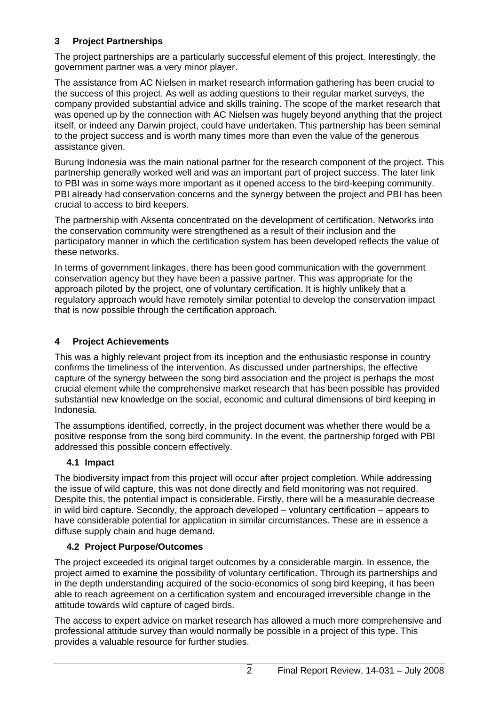## **3 Project Partnerships**

The project partnerships are a particularly successful element of this project. Interestingly, the government partner was a very minor player.

The assistance from AC Nielsen in market research information gathering has been crucial to the success of this project. As well as adding questions to their regular market surveys, the company provided substantial advice and skills training. The scope of the market research that was opened up by the connection with AC Nielsen was hugely beyond anything that the project itself, or indeed any Darwin project, could have undertaken. This partnership has been seminal to the project success and is worth many times more than even the value of the generous assistance given.

Burung Indonesia was the main national partner for the research component of the project. This partnership generally worked well and was an important part of project success. The later link to PBI was in some ways more important as it opened access to the bird-keeping community. PBI already had conservation concerns and the synergy between the project and PBI has been crucial to access to bird keepers.

The partnership with Aksenta concentrated on the development of certification. Networks into the conservation community were strengthened as a result of their inclusion and the participatory manner in which the certification system has been developed reflects the value of these networks.

In terms of government linkages, there has been good communication with the government conservation agency but they have been a passive partner. This was appropriate for the approach piloted by the project, one of voluntary certification. It is highly unlikely that a regulatory approach would have remotely similar potential to develop the conservation impact that is now possible through the certification approach.

# **4 Project Achievements**

This was a highly relevant project from its inception and the enthusiastic response in country confirms the timeliness of the intervention. As discussed under partnerships, the effective capture of the synergy between the song bird association and the project is perhaps the most crucial element while the comprehensive market research that has been possible has provided substantial new knowledge on the social, economic and cultural dimensions of bird keeping in Indonesia.

The assumptions identified, correctly, in the project document was whether there would be a positive response from the song bird community. In the event, the partnership forged with PBI addressed this possible concern effectively.

# **4.1 Impact**

The biodiversity impact from this project will occur after project completion. While addressing the issue of wild capture, this was not done directly and field monitoring was not required. Despite this, the potential impact is considerable. Firstly, there will be a measurable decrease in wild bird capture. Secondly, the approach developed – voluntary certification – appears to have considerable potential for application in similar circumstances. These are in essence a diffuse supply chain and huge demand.

### **4.2 Project Purpose/Outcomes**

The project exceeded its original target outcomes by a considerable margin. In essence, the project aimed to examine the possibility of voluntary certification. Through its partnerships and in the depth understanding acquired of the socio-economics of song bird keeping, it has been able to reach agreement on a certification system and encouraged irreversible change in the attitude towards wild capture of caged birds.

The access to expert advice on market research has allowed a much more comprehensive and professional attitude survey than would normally be possible in a project of this type. This provides a valuable resource for further studies.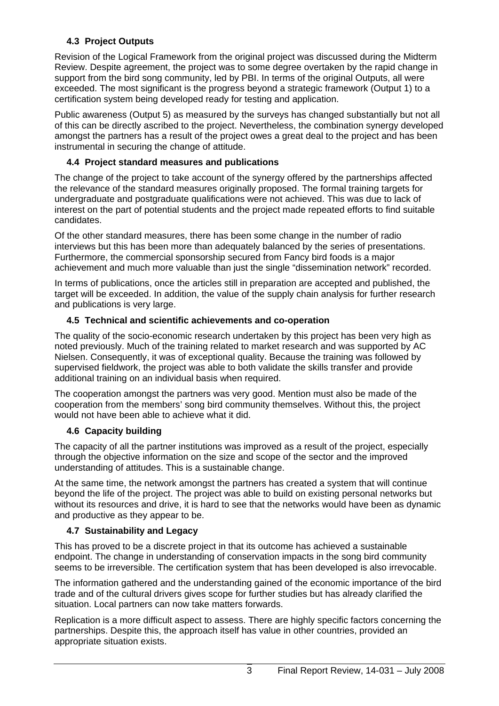# **4.3 Project Outputs**

Revision of the Logical Framework from the original project was discussed during the Midterm Review. Despite agreement, the project was to some degree overtaken by the rapid change in support from the bird song community, led by PBI. In terms of the original Outputs, all were exceeded. The most significant is the progress beyond a strategic framework (Output 1) to a certification system being developed ready for testing and application.

Public awareness (Output 5) as measured by the surveys has changed substantially but not all of this can be directly ascribed to the project. Nevertheless, the combination synergy developed amongst the partners has a result of the project owes a great deal to the project and has been instrumental in securing the change of attitude.

## **4.4 Project standard measures and publications**

The change of the project to take account of the synergy offered by the partnerships affected the relevance of the standard measures originally proposed. The formal training targets for undergraduate and postgraduate qualifications were not achieved. This was due to lack of interest on the part of potential students and the project made repeated efforts to find suitable candidates.

Of the other standard measures, there has been some change in the number of radio interviews but this has been more than adequately balanced by the series of presentations. Furthermore, the commercial sponsorship secured from Fancy bird foods is a major achievement and much more valuable than just the single "dissemination network" recorded.

In terms of publications, once the articles still in preparation are accepted and published, the target will be exceeded. In addition, the value of the supply chain analysis for further research and publications is very large.

# **4.5 Technical and scientific achievements and co-operation**

The quality of the socio-economic research undertaken by this project has been very high as noted previously. Much of the training related to market research and was supported by AC Nielsen. Consequently, it was of exceptional quality. Because the training was followed by supervised fieldwork, the project was able to both validate the skills transfer and provide additional training on an individual basis when required.

The cooperation amongst the partners was very good. Mention must also be made of the cooperation from the members' song bird community themselves. Without this, the project would not have been able to achieve what it did.

### **4.6 Capacity building**

The capacity of all the partner institutions was improved as a result of the project, especially through the objective information on the size and scope of the sector and the improved understanding of attitudes. This is a sustainable change.

At the same time, the network amongst the partners has created a system that will continue beyond the life of the project. The project was able to build on existing personal networks but without its resources and drive, it is hard to see that the networks would have been as dynamic and productive as they appear to be.

### **4.7 Sustainability and Legacy**

This has proved to be a discrete project in that its outcome has achieved a sustainable endpoint. The change in understanding of conservation impacts in the song bird community seems to be irreversible. The certification system that has been developed is also irrevocable.

The information gathered and the understanding gained of the economic importance of the bird trade and of the cultural drivers gives scope for further studies but has already clarified the situation. Local partners can now take matters forwards.

Replication is a more difficult aspect to assess. There are highly specific factors concerning the partnerships. Despite this, the approach itself has value in other countries, provided an appropriate situation exists.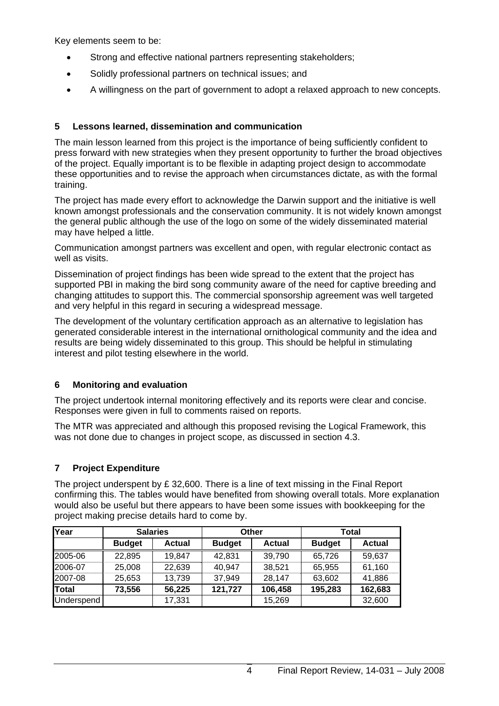Key elements seem to be:

- Strong and effective national partners representing stakeholders;
- Solidly professional partners on technical issues; and
- A willingness on the part of government to adopt a relaxed approach to new concepts.

### **5 Lessons learned, dissemination and communication**

The main lesson learned from this project is the importance of being sufficiently confident to press forward with new strategies when they present opportunity to further the broad objectives of the project. Equally important is to be flexible in adapting project design to accommodate these opportunities and to revise the approach when circumstances dictate, as with the formal training.

The project has made every effort to acknowledge the Darwin support and the initiative is well known amongst professionals and the conservation community. It is not widely known amongst the general public although the use of the logo on some of the widely disseminated material may have helped a little.

Communication amongst partners was excellent and open, with regular electronic contact as well as visits.

Dissemination of project findings has been wide spread to the extent that the project has supported PBI in making the bird song community aware of the need for captive breeding and changing attitudes to support this. The commercial sponsorship agreement was well targeted and very helpful in this regard in securing a widespread message.

The development of the voluntary certification approach as an alternative to legislation has generated considerable interest in the international ornithological community and the idea and results are being widely disseminated to this group. This should be helpful in stimulating interest and pilot testing elsewhere in the world.

### **6 Monitoring and evaluation**

The project undertook internal monitoring effectively and its reports were clear and concise. Responses were given in full to comments raised on reports.

The MTR was appreciated and although this proposed revising the Logical Framework, this was not done due to changes in project scope, as discussed in section 4.3.

### **7 Project Expenditure**

The project underspent by £ 32,600. There is a line of text missing in the Final Report confirming this. The tables would have benefited from showing overall totals. More explanation would also be useful but there appears to have been some issues with bookkeeping for the project making precise details hard to come by.

| Year         | <b>Salaries</b> |               | Other         |               | <b>Total</b>  |               |
|--------------|-----------------|---------------|---------------|---------------|---------------|---------------|
|              | <b>Budget</b>   | <b>Actual</b> | <b>Budget</b> | <b>Actual</b> | <b>Budget</b> | <b>Actual</b> |
| 2005-06      | 22,895          | 19,847        | 42,831        | 39,790        | 65,726        | 59,637        |
| 2006-07      | 25,008          | 22,639        | 40,947        | 38,521        | 65,955        | 61,160        |
| 2007-08      | 25,653          | 13,739        | 37,949        | 28,147        | 63,602        | 41,886        |
| Total        | 73,556          | 56,225        | 121,727       | 106,458       | 195,283       | 162,683       |
| Underspend I |                 | 17,331        |               | 15,269        |               | 32,600        |